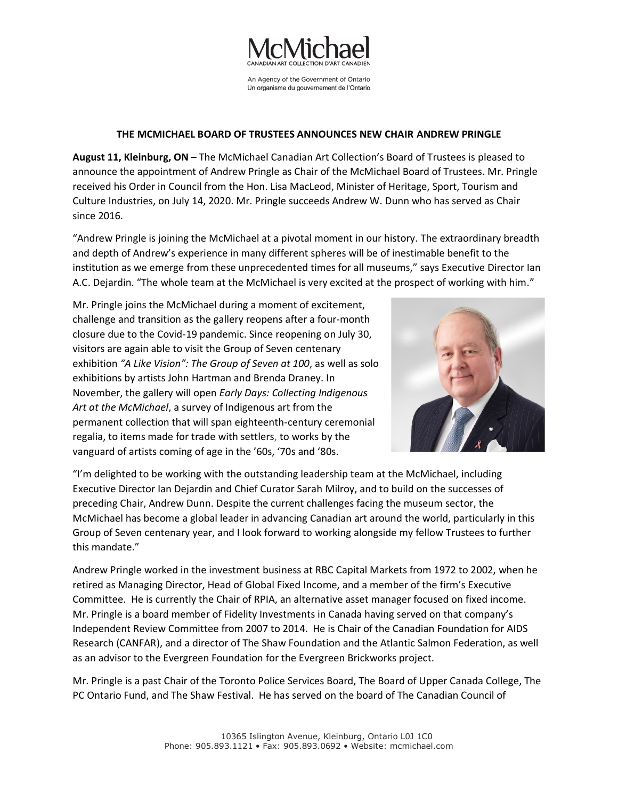

An Agency of the Government of Ontario Un organisme du gouvernement de l'Ontario

## **THE MCMICHAEL BOARD OF TRUSTEES ANNOUNCES NEW CHAIR ANDREW PRINGLE**

**August 11, Kleinburg, ON** – The McMichael Canadian Art Collection's Board of Trustees is pleased to announce the appointment of Andrew Pringle as Chair of the McMichael Board of Trustees. Mr. Pringle received his Order in Council from the Hon. Lisa MacLeod, Minister of Heritage, Sport, Tourism and Culture Industries, on July 14, 2020. Mr. Pringle succeeds Andrew W. Dunn who has served as Chair since 2016.

"Andrew Pringle is joining the McMichael at a pivotal moment in our history. The extraordinary breadth and depth of Andrew's experience in many different spheres will be of inestimable benefit to the institution as we emerge from these unprecedented times for all museums," says Executive Director Ian A.C. Dejardin. "The whole team at the McMichael is very excited at the prospect of working with him."

Mr. Pringle joins the McMichael during a moment of excitement, challenge and transition as the gallery reopens after a four-month closure due to the Covid-19 pandemic. Since reopening on July 30, visitors are again able to visit the Group of Seven centenary exhibition *"A Like Vision": The Group of Seven at 100*, as well as solo exhibitions by artists John Hartman and Brenda Draney. In November, the gallery will open *Early Days: Collecting Indigenous Art at the McMichael*, a survey of Indigenous art from the permanent collection that will span eighteenth-century ceremonial regalia, to items made for trade with settlers, to works by the vanguard of artists coming of age in the '60s, '70s and '80s.



"I'm delighted to be working with the outstanding leadership team at the McMichael, including Executive Director Ian Dejardin and Chief Curator Sarah Milroy, and to build on the successes of preceding Chair, Andrew Dunn. Despite the current challenges facing the museum sector, the McMichael has become a global leader in advancing Canadian art around the world, particularly in this Group of Seven centenary year, and I look forward to working alongside my fellow Trustees to further this mandate."

Andrew Pringle worked in the investment business at RBC Capital Markets from 1972 to 2002, when he retired as Managing Director, Head of Global Fixed Income, and a member of the firm's Executive Committee. He is currently the Chair of RPIA, an alternative asset manager focused on fixed income. Mr. Pringle is a board member of Fidelity Investments in Canada having served on that company's Independent Review Committee from 2007 to 2014. He is Chair of the Canadian Foundation for AIDS Research (CANFAR), and a director of The Shaw Foundation and the Atlantic Salmon Federation, as well as an advisor to the Evergreen Foundation for the Evergreen Brickworks project.

Mr. Pringle is a past Chair of the Toronto Police Services Board, The Board of Upper Canada College, The PC Ontario Fund, and The Shaw Festival. He has served on the board of The Canadian Council of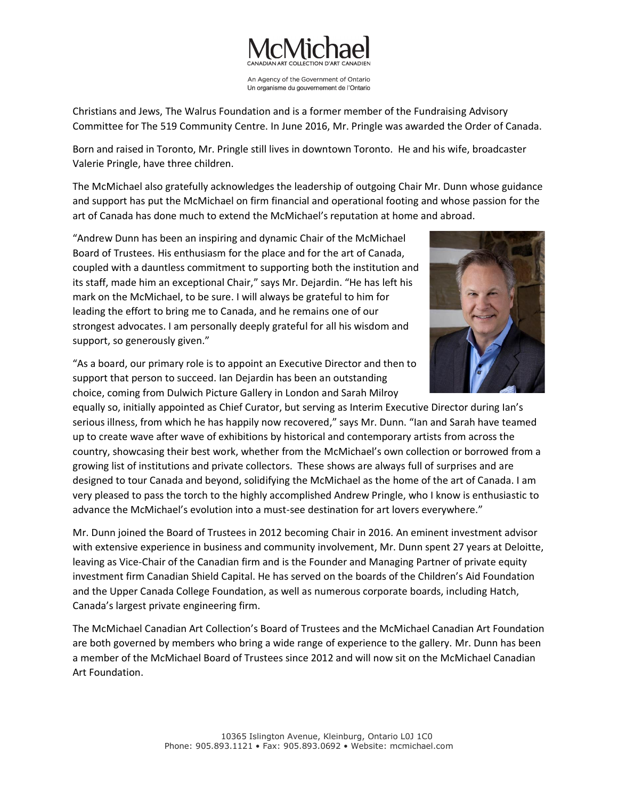

An Agency of the Government of Ontario Un organisme du gouvernement de l'Ontario

Christians and Jews, The Walrus Foundation and is a former member of the Fundraising Advisory Committee for The 519 Community Centre. In June 2016, Mr. Pringle was awarded the Order of Canada.

Born and raised in Toronto, Mr. Pringle still lives in downtown Toronto. He and his wife, broadcaster Valerie Pringle, have three children.

The McMichael also gratefully acknowledges the leadership of outgoing Chair Mr. Dunn whose guidance and support has put the McMichael on firm financial and operational footing and whose passion for the art of Canada has done much to extend the McMichael's reputation at home and abroad.

"Andrew Dunn has been an inspiring and dynamic Chair of the McMichael Board of Trustees. His enthusiasm for the place and for the art of Canada, coupled with a dauntless commitment to supporting both the institution and its staff, made him an exceptional Chair," says Mr. Dejardin. "He has left his mark on the McMichael, to be sure. I will always be grateful to him for leading the effort to bring me to Canada, and he remains one of our strongest advocates. I am personally deeply grateful for all his wisdom and support, so generously given."

"As a board, our primary role is to appoint an Executive Director and then to support that person to succeed. Ian Dejardin has been an outstanding choice, coming from Dulwich Picture Gallery in London and Sarah Milroy



equally so, initially appointed as Chief Curator, but serving as Interim Executive Director during Ian's serious illness, from which he has happily now recovered," says Mr. Dunn. "Ian and Sarah have teamed up to create wave after wave of exhibitions by historical and contemporary artists from across the country, showcasing their best work, whether from the McMichael's own collection or borrowed from a growing list of institutions and private collectors. These shows are always full of surprises and are designed to tour Canada and beyond, solidifying the McMichael as the home of the art of Canada. I am very pleased to pass the torch to the highly accomplished Andrew Pringle, who I know is enthusiastic to advance the McMichael's evolution into a must-see destination for art lovers everywhere."

Mr. Dunn joined the Board of Trustees in 2012 becoming Chair in 2016. An eminent investment advisor with extensive experience in business and community involvement, Mr. Dunn spent 27 years at Deloitte, leaving as Vice-Chair of the Canadian firm and is the Founder and Managing Partner of private equity investment firm Canadian Shield Capital. He has served on the boards of the Children's Aid Foundation and the Upper Canada College Foundation, as well as numerous corporate boards, including Hatch, Canada's largest private engineering firm.

The McMichael Canadian Art Collection's Board of Trustees and the McMichael Canadian Art Foundation are both governed by members who bring a wide range of experience to the gallery. Mr. Dunn has been a member of the McMichael Board of Trustees since 2012 and will now sit on the McMichael Canadian Art Foundation.